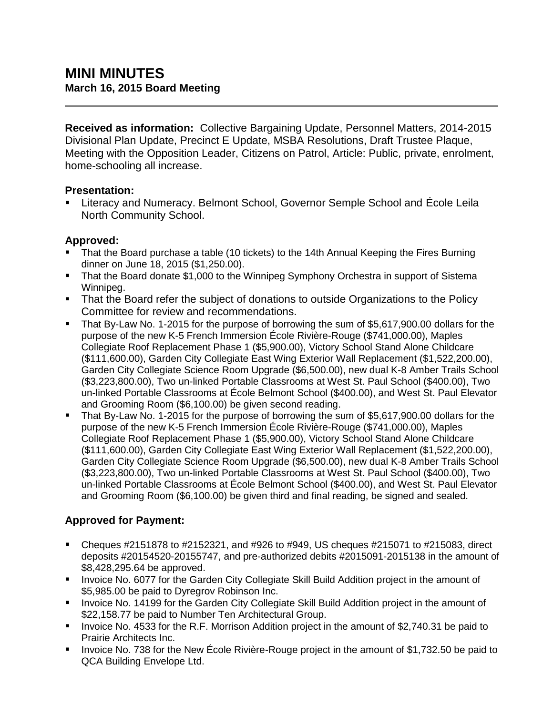**Received as information:** Collective Bargaining Update, Personnel Matters, 2014-2015 Divisional Plan Update, Precinct E Update, MSBA Resolutions, Draft Trustee Plaque, Meeting with the Opposition Leader, Citizens on Patrol, Article: Public, private, enrolment, home-schooling all increase.

### **Presentation:**

 Literacy and Numeracy. Belmont School, Governor Semple School and École Leila North Community School.

### **Approved:**

- That the Board purchase a table (10 tickets) to the 14th Annual Keeping the Fires Burning dinner on June 18, 2015 (\$1,250.00).
- **That the Board donate \$1,000 to the Winnipeg Symphony Orchestra in support of Sistema** Winnipeg.
- That the Board refer the subject of donations to outside Organizations to the Policy Committee for review and recommendations.
- That By-Law No. 1-2015 for the purpose of borrowing the sum of \$5,617,900.00 dollars for the purpose of the new K-5 French Immersion École Rivière-Rouge (\$741,000.00), Maples Collegiate Roof Replacement Phase 1 (\$5,900.00), Victory School Stand Alone Childcare (\$111,600.00), Garden City Collegiate East Wing Exterior Wall Replacement (\$1,522,200.00), Garden City Collegiate Science Room Upgrade (\$6,500.00), new dual K-8 Amber Trails School (\$3,223,800.00), Two un-linked Portable Classrooms at West St. Paul School (\$400.00), Two un-linked Portable Classrooms at École Belmont School (\$400.00), and West St. Paul Elevator and Grooming Room (\$6,100.00) be given second reading.
- That By-Law No. 1-2015 for the purpose of borrowing the sum of \$5,617,900.00 dollars for the purpose of the new K-5 French Immersion École Rivière-Rouge (\$741,000.00), Maples Collegiate Roof Replacement Phase 1 (\$5,900.00), Victory School Stand Alone Childcare (\$111,600.00), Garden City Collegiate East Wing Exterior Wall Replacement (\$1,522,200.00), Garden City Collegiate Science Room Upgrade (\$6,500.00), new dual K-8 Amber Trails School (\$3,223,800.00), Two un-linked Portable Classrooms at West St. Paul School (\$400.00), Two un-linked Portable Classrooms at École Belmont School (\$400.00), and West St. Paul Elevator and Grooming Room (\$6,100.00) be given third and final reading, be signed and sealed.

## **Approved for Payment:**

- Cheques  $\#2151878$  to  $\#2152321$ , and  $\#926$  to  $\#949$ , US cheques  $\#215071$  to  $\#215083$ , direct deposits #20154520-20155747, and pre-authorized debits #2015091-2015138 in the amount of \$8,428,295.64 be approved.
- **Invoice No. 6077 for the Garden City Collegiate Skill Build Addition project in the amount of** \$5,985.00 be paid to Dyregrov Robinson Inc.
- **IDED 14189 Form Step Adden** City Collegiate Skill Build Addition project in the amount of \$22,158.77 be paid to Number Ten Architectural Group.
- Invoice No. 4533 for the R.F. Morrison Addition project in the amount of \$2,740.31 be paid to Prairie Architects Inc.
- Invoice No. 738 for the New École Rivière-Rouge project in the amount of \$1,732.50 be paid to QCA Building Envelope Ltd.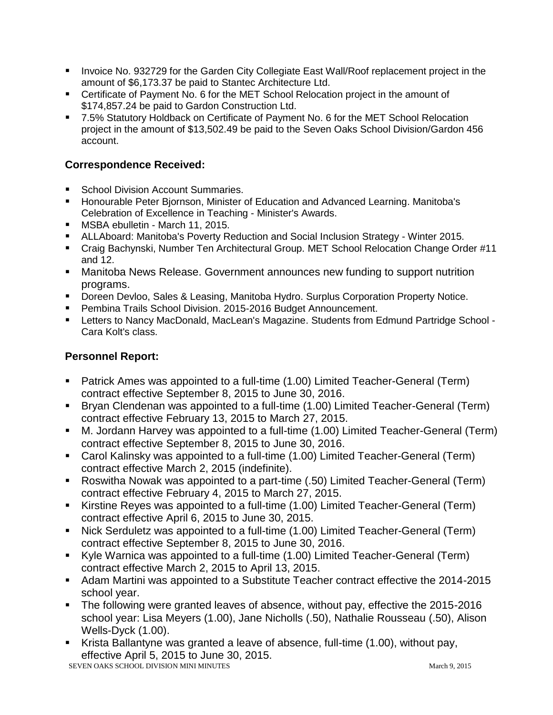- **Invoice No. 932729 for the Garden City Collegiate East Wall/Roof replacement project in the** amount of \$6,173.37 be paid to Stantec Architecture Ltd.
- Certificate of Payment No. 6 for the MET School Relocation project in the amount of \$174,857.24 be paid to Gardon Construction Ltd.
- 7.5% Statutory Holdback on Certificate of Payment No. 6 for the MET School Relocation project in the amount of \$13,502.49 be paid to the Seven Oaks School Division/Gardon 456 account.

### **Correspondence Received:**

- School Division Account Summaries.
- **Honourable Peter Biornson, Minister of Education and Advanced Learning. Manitoba's** Celebration of Excellence in Teaching - Minister's Awards.
- **MSBA ebulletin March 11, 2015.**
- ALLAboard: Manitoba's Poverty Reduction and Social Inclusion Strategy Winter 2015.
- Craig Bachynski, Number Ten Architectural Group. MET School Relocation Change Order #11 and 12.
- Manitoba News Release. Government announces new funding to support nutrition programs.
- **Doreen Devloo, Sales & Leasing, Manitoba Hydro. Surplus Corporation Property Notice.**
- **Pembina Trails School Division. 2015-2016 Budget Announcement.**
- Letters to Nancy MacDonald, MacLean's Magazine. Students from Edmund Partridge School -Cara Kolt's class.

# **Personnel Report:**

- Patrick Ames was appointed to a full-time (1.00) Limited Teacher-General (Term) contract effective September 8, 2015 to June 30, 2016.
- Bryan Clendenan was appointed to a full-time (1.00) Limited Teacher-General (Term) contract effective February 13, 2015 to March 27, 2015.
- M. Jordann Harvey was appointed to a full-time (1.00) Limited Teacher-General (Term) contract effective September 8, 2015 to June 30, 2016.
- Carol Kalinsky was appointed to a full-time (1.00) Limited Teacher-General (Term) contract effective March 2, 2015 (indefinite).
- Roswitha Nowak was appointed to a part-time (.50) Limited Teacher-General (Term) contract effective February 4, 2015 to March 27, 2015.
- Kirstine Reyes was appointed to a full-time (1.00) Limited Teacher-General (Term) contract effective April 6, 2015 to June 30, 2015.
- Nick Serduletz was appointed to a full-time (1.00) Limited Teacher-General (Term) contract effective September 8, 2015 to June 30, 2016.
- Kyle Warnica was appointed to a full-time (1.00) Limited Teacher-General (Term) contract effective March 2, 2015 to April 13, 2015.
- Adam Martini was appointed to a Substitute Teacher contract effective the 2014-2015 school year.
- The following were granted leaves of absence, without pay, effective the 2015-2016 school year: Lisa Meyers (1.00), Jane Nicholls (.50), Nathalie Rousseau (.50), Alison Wells-Dyck (1.00).
- SEVEN OAKS SCHOOL DIVISION MINI MINUTES March 9, 2015 Krista Ballantyne was granted a leave of absence, full-time (1.00), without pay, effective April 5, 2015 to June 30, 2015.